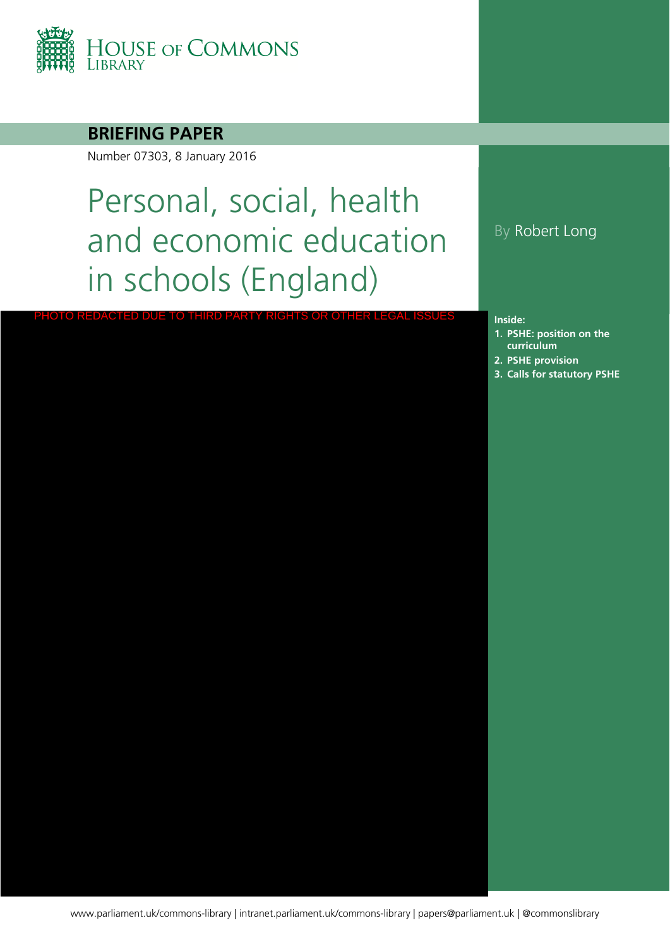

#### **BRIEFING PAPER**

Number 07303, 8 January 2016

# Personal, social, health and economic education in schools (England)

PHOTO REDACTED DUE TO THIRD PARTY RIGHTS OR OTHER LEGAL ISSUES

#### By Robert Long

**Inside:**

- **1. [PSHE: position on](#page-3-0) the curriculum**
- **2. [PSHE provision](#page-7-0)**
- **3. [Calls for statutory PSHE](#page-10-0)**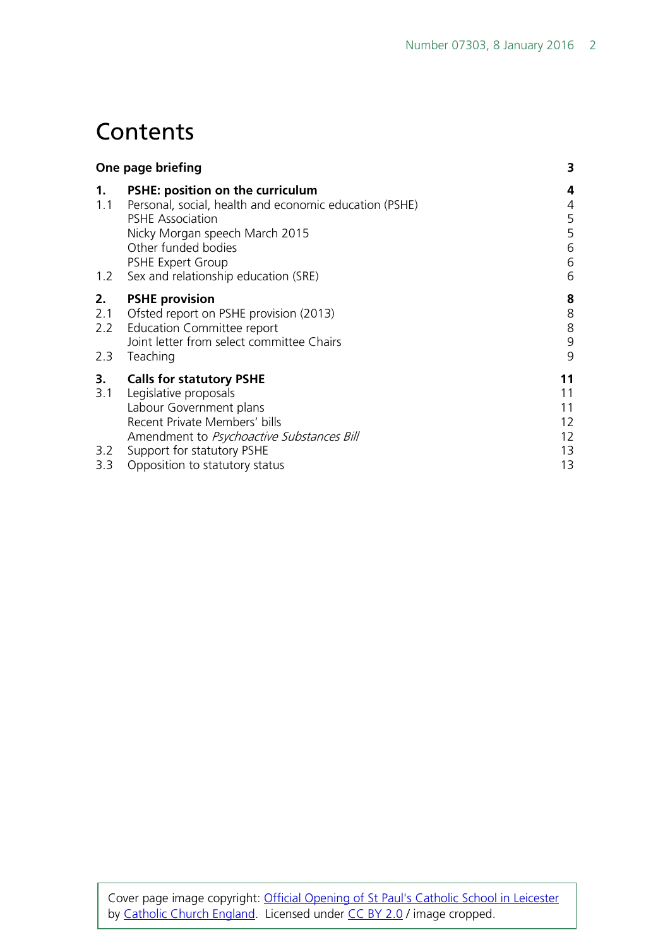## **Contents**

| One page briefing       |                                                                                                                                                                                                                                                    | 3                                      |
|-------------------------|----------------------------------------------------------------------------------------------------------------------------------------------------------------------------------------------------------------------------------------------------|----------------------------------------|
| 1.<br>1.1<br>1.2        | <b>PSHE: position on the curriculum</b><br>Personal, social, health and economic education (PSHE)<br><b>PSHE Association</b><br>Nicky Morgan speech March 2015<br>Other funded bodies<br>PSHE Expert Group<br>Sex and relationship education (SRE) | 4<br>4<br>5<br>5<br>6<br>6<br>6        |
| 2.<br>2.1<br>2.2<br>2.3 | <b>PSHE provision</b><br>Ofsted report on PSHE provision (2013)<br><b>Education Committee report</b><br>Joint letter from select committee Chairs<br>Teaching                                                                                      | 8<br>$\,8$<br>8<br>9<br>9              |
| 3.<br>3.1<br>3.2<br>3.3 | <b>Calls for statutory PSHE</b><br>Legislative proposals<br>Labour Government plans<br>Recent Private Members' bills<br>Amendment to Psychoactive Substances Bill<br>Support for statutory PSHE<br>Opposition to statutory status                  | 11<br>11<br>11<br>12<br>12<br>13<br>13 |

Cover page image copyright: [Official Opening of St Paul's Catholic School in Leicester](https://www.flickr.com/photos/catholicism/16468633404/in/photolist-r6h3Xf-rKGV8L-s39HAw-rKFDJu-r6u43R-rKEfYG-nsTGgs-ad7xgp-9e4gXq-9uEcAJ-qrJGXJ-eepbm-6rcN13-5i9SLE-7Dkdgq-tQX4oR-mr81Y3-4kudXv-9H4VtM-gXHe1d-6Ya6wF-otXYGN-6HPwgi-7oBZwz-8eCKgN-sry38Y-6y4D85-rUtJdM-dZgc3Q-7ZMFCk-9u1Hrn-k7hLbk-87RBa8-dtZLj9-uyCEXn-a2NMC9-5RpyJF-e7gFa-4gEeri-9F5f4s-8RCnVm-pNdKo8-e5xi47-9VpaoU-9UGjcG-5qQmNL-89TAR6-dEuSpJ-quL4iA-fYs8c) by [Catholic Church England.](https://www.flickr.com/photos/catholicism/) Licensed under [CC BY 2.0](https://creativecommons.org/licenses/by-nc-sa/2.0/) / image cropped.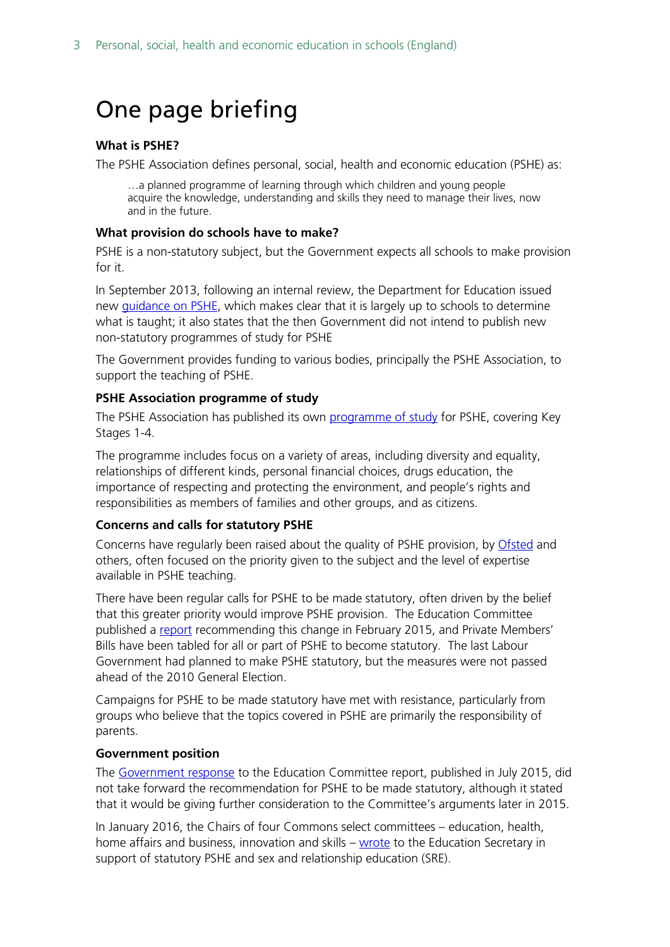## <span id="page-2-0"></span>One page briefing

#### **What is PSHE?**

The PSHE Association defines personal, social, health and economic education (PSHE) as:

…a planned programme of learning through which children and young people acquire the knowledge, understanding and skills they need to manage their lives, now and in the future.

#### **What provision do schools have to make?**

PSHE is a non-statutory subject, but the Government expects all schools to make provision for it.

In September 2013, following an internal review, the Department for Education issued new [guidance on PSHE,](https://www.gov.uk/government/publications/personal-social-health-and-economic-education-pshe/personal-social-health-and-economic-pshe-education%23contents) which makes clear that it is largely up to schools to determine what is taught; it also states that the then Government did not intend to publish new non-statutory programmes of study for PSHE

The Government provides funding to various bodies, principally the PSHE Association, to support the teaching of PSHE.

#### **PSHE Association programme of study**

The PSHE Association has published its own [programme of study](https://www.pshe-association.org.uk/resources_search_details.aspx?ResourceId=495&Keyword=programme&SubjectID=0&LevelID=0&ResourceTypeID=3&SuggestedUseID=0) for PSHE, covering Key Stages 1-4.

The programme includes focus on a variety of areas, including diversity and equality, relationships of different kinds, personal financial choices, drugs education, the importance of respecting and protecting the environment, and people's rights and responsibilities as members of families and other groups, and as citizens.

#### **Concerns and calls for statutory PSHE**

Concerns have regularly been raised about the quality of PSHE provision, by [Ofsted](https://www.gov.uk/government/publications/not-yet-good-enough-personal-social-health-and-economic-education) and others, often focused on the priority given to the subject and the level of expertise available in PSHE teaching.

There have been regular calls for PSHE to be made statutory, often driven by the belief that this greater priority would improve PSHE provision. The Education Committee published a [report](http://www.publications.parliament.uk/pa/cm201415/cmselect/cmeduc/145/145.pdf) recommending this change in February 2015, and Private Members' Bills have been tabled for all or part of PSHE to become statutory. The last Labour Government had planned to make PSHE statutory, but the measures were not passed ahead of the 2010 General Election.

Campaigns for PSHE to be made statutory have met with resistance, particularly from groups who believe that the topics covered in PSHE are primarily the responsibility of parents.

#### **Government position**

The [Government response](https://www.gov.uk/government/uploads/system/uploads/attachment_data/file/446038/50742_Cm_9121_Web.pdf) to the Education Committee report, published in July 2015, did not take forward the recommendation for PSHE to be made statutory, although it stated that it would be giving further consideration to the Committee's arguments later in 2015.

In January 2016, the Chairs of four Commons select committees – education, health, home affairs and business, innovation and skills – [wrote](http://www.parliament.uk/documents/commons-committees/Education/Chairs) to the Education Secretary in support of statutory PSHE and sex and relationship education (SRE).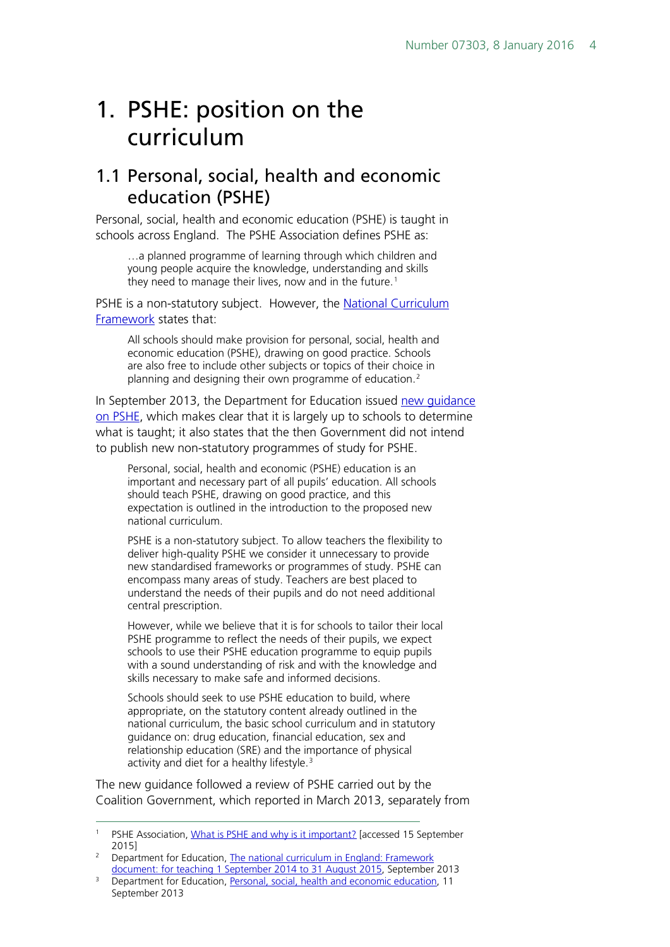## <span id="page-3-0"></span>1. PSHE: position on the curriculum

### <span id="page-3-1"></span>1.1 Personal, social, health and economic education (PSHE)

Personal, social, health and economic education (PSHE) is taught in schools across England. The PSHE Association defines PSHE as:

…a planned programme of learning through which children and young people acquire the knowledge, understanding and skills they need to manage their lives, now and in the future. [1](#page-3-2)

PSHE is a non-statutory subject. However, the [National Curriculum](https://www.gov.uk/government/uploads/system/uploads/attachment_data/file/339805/MASTER_final_national_curriculum_until_sept_2015_11_9_13.pdf)  [Framework](https://www.gov.uk/government/uploads/system/uploads/attachment_data/file/339805/MASTER_final_national_curriculum_until_sept_2015_11_9_13.pdf) states that:

All schools should make provision for personal, social, health and economic education (PSHE), drawing on good practice. Schools are also free to include other subjects or topics of their choice in planning and designing their own programme of education.<sup>[2](#page-3-3)</sup>

In September 2013, the Department for Education issued [new guidance](https://www.gov.uk/government/publications/personal-social-health-and-economic-education-pshe/personal-social-health-and-economic-pshe-education#contents)  [on PSHE,](https://www.gov.uk/government/publications/personal-social-health-and-economic-education-pshe/personal-social-health-and-economic-pshe-education#contents) which makes clear that it is largely up to schools to determine what is taught; it also states that the then Government did not intend to publish new non-statutory programmes of study for PSHE.

Personal, social, health and economic (PSHE) education is an important and necessary part of all pupils' education. All schools should teach PSHE, drawing on good practice, and this expectation is outlined in the introduction to the proposed new national curriculum.

PSHE is a non-statutory subject. To allow teachers the flexibility to deliver high-quality PSHE we consider it unnecessary to provide new standardised frameworks or programmes of study. PSHE can encompass many areas of study. Teachers are best placed to understand the needs of their pupils and do not need additional central prescription.

However, while we believe that it is for schools to tailor their local PSHE programme to reflect the needs of their pupils, we expect schools to use their PSHE education programme to equip pupils with a sound understanding of risk and with the knowledge and skills necessary to make safe and informed decisions.

Schools should seek to use PSHE education to build, where appropriate, on the statutory content already outlined in the national curriculum, the basic school curriculum and in statutory guidance on: drug education, financial education, sex and relationship education (SRE) and the importance of physical activity and diet for a healthy lifestyle.<sup>[3](#page-3-4)</sup>

The new guidance followed a review of PSHE carried out by the Coalition Government, which reported in March 2013, separately from

<span id="page-3-2"></span><sup>&</sup>lt;sup>1</sup> PSHE Association, [What is PSHE and why is it important?](https://www.pshe-association.org.uk/content.aspx?CategoryID=1043) [accessed 15 September 2015]

<span id="page-3-3"></span><sup>&</sup>lt;sup>2</sup> Department for Education, The national curriculum in England: Framework [document: for teaching 1 September 2014 to 31 August 2015,](https://www.gov.uk/government/uploads/system/uploads/attachment_data/file/339805/MASTER_final_national_curriculum_until_sept_2015_11_9_13.pdf) September 2013

<span id="page-3-4"></span><sup>&</sup>lt;sup>3</sup> Department for Education, [Personal, social, health and economic education,](https://www.gov.uk/government/publications/personal-social-health-and-economic-education-pshe/personal-social-health-and-economic-pshe-education#personal-social-health-and-economic-education) 11 September 2013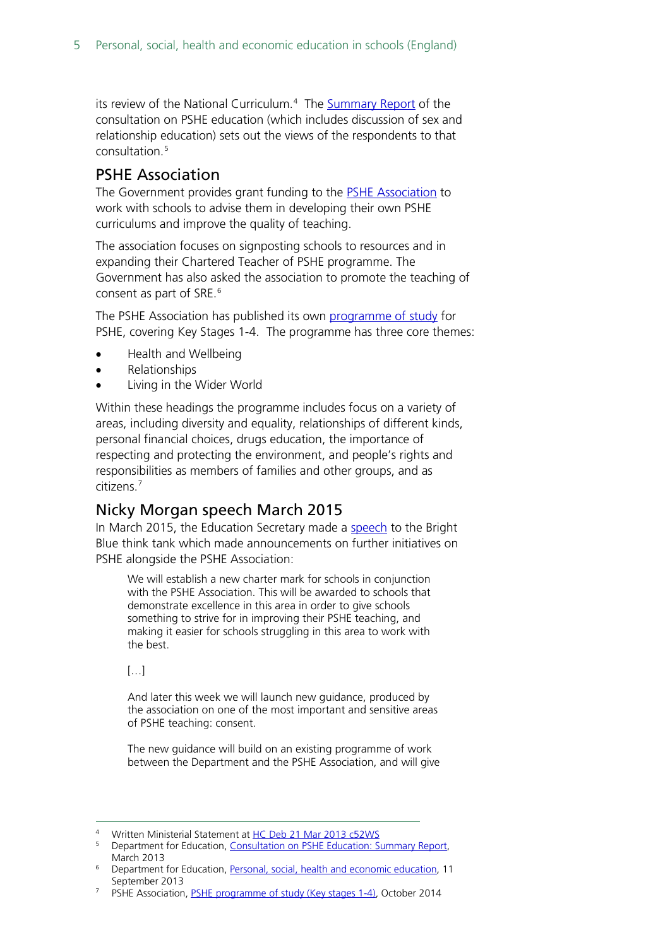its review of the National Curriculum.<sup>[4](#page-4-2)</sup> The [Summary Report](http://media.education.gov.uk/assets/files/pdf/p/pshe%20cons%20report.pdf) of the consultation on PSHE education (which includes discussion of sex and relationship education) sets out the views of the respondents to that consultation.[5](#page-4-3)

#### <span id="page-4-0"></span>PSHE Association

The Government provides grant funding to the [PSHE Association](http://www.pshe-association.org.uk/) to work with schools to advise them in developing their own PSHE curriculums and improve the quality of teaching.

The association focuses on signposting schools to resources and in expanding their Chartered Teacher of PSHE programme. The Government has also asked the association to promote the teaching of consent as part of SRE.<sup>[6](#page-4-4)</sup>

The PSHE Association has published its own [programme of study](https://www.pshe-association.org.uk/resources_search_details.aspx?ResourceId=495&Keyword=programme&SubjectID=0&LevelID=0&ResourceTypeID=3&SuggestedUseID=0) for PSHE, covering Key Stages 1-4. The programme has three core themes:

- Health and Wellbeing
- Relationships
- Living in the Wider World

Within these headings the programme includes focus on a variety of areas, including diversity and equality, relationships of different kinds, personal financial choices, drugs education, the importance of respecting and protecting the environment, and people's rights and responsibilities as members of families and other groups, and as citizens. [7](#page-4-5)

#### <span id="page-4-1"></span>Nicky Morgan speech March 2015

In March 2015, the Education Secretary made a [speech](http://brightblue.org.uk/index.php/medias/speeches) to the Bright Blue think tank which made announcements on further initiatives on PSHE alongside the PSHE Association:

We will establish a new charter mark for schools in conjunction with the PSHE Association. This will be awarded to schools that demonstrate excellence in this area in order to give schools something to strive for in improving their PSHE teaching, and making it easier for schools struggling in this area to work with the best.

[…]

And later this week we will launch new guidance, produced by the association on one of the most important and sensitive areas of PSHE teaching: consent.

The new guidance will build on an existing programme of work between the Department and the PSHE Association, and will give

Written Ministerial Statement a[t HC Deb 21 Mar 2013 c52WS](http://www.publications.parliament.uk/pa/cm201213/cmhansrd/cm130321/wmstext/130321m0001.htm#13032159000004)

<span id="page-4-3"></span><span id="page-4-2"></span><sup>5</sup> Department for Education, [Consultation on PSHE Education: Summary Report,](http://media.education.gov.uk/assets/files/pdf/p/pshe%20cons%20report.pdf)  March 2013

<span id="page-4-4"></span><sup>6</sup> Department for Education, [Personal, social, health and economic education,](https://www.gov.uk/government/publications/personal-social-health-and-economic-education-pshe/personal-social-health-and-economic-pshe-education#contents) 11 September 2013

<span id="page-4-5"></span><sup>&</sup>lt;sup>7</sup> PSHE Association, [PSHE programme of study \(Key stages 1-4\),](https://www.pshe-association.org.uk/resources_search_details.aspx?ResourceId=495&Keyword=programme&SubjectID=0&LevelID=0&ResourceTypeID=3&SuggestedUseID=0) October 2014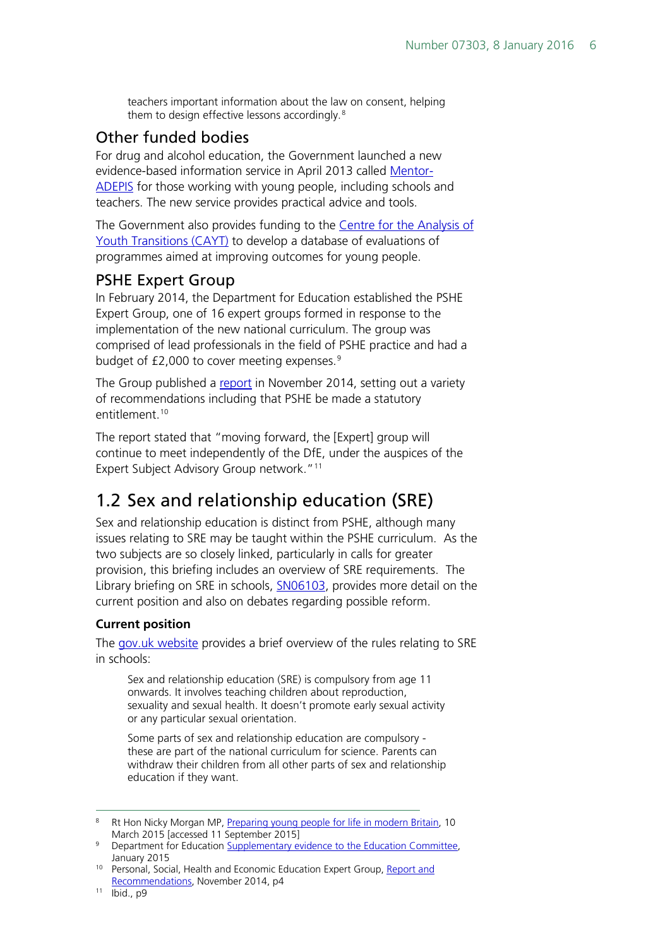teachers important information about the law on consent, helping them to design effective lessons accordingly.<sup>[8](#page-5-3)</sup>

#### <span id="page-5-0"></span>Other funded bodies

For drug and alcohol education, the Government launched a new evidence-based information service in April 2013 called [Mentor-](http://mentor-adepis.org/)[ADEPIS](http://mentor-adepis.org/) for those working with young people, including schools and teachers. The new service provides practical advice and tools.

The Government also provides funding to the Centre for the Analysis of [Youth Transitions \(CAYT\)](http://www.ifs.org.uk/centres/cayt) to develop a database of evaluations of programmes aimed at improving outcomes for young people.

#### <span id="page-5-1"></span>PSHE Expert Group

In February 2014, the Department for Education established the PSHE Expert Group, one of 16 expert groups formed in response to the implementation of the new national curriculum. The group was comprised of lead professionals in the field of PSHE practice and had a budget of £2,000 to cover meeting expenses.<sup>[9](#page-5-4)</sup>

The Group published a [report](https://pshe-association.org.uk/uploads/media/17/8025.pdf) in November 2014, setting out a variety of recommendations including that PSHE be made a statutory entitlement.<sup>10</sup>

The report stated that "moving forward, the [Expert] group will continue to meet independently of the DfE, under the auspices of the Expert Subject Advisory Group network."<sup>[11](#page-5-6)</sup>

## <span id="page-5-2"></span>1.2 Sex and relationship education (SRE)

Sex and relationship education is distinct from PSHE, although many issues relating to SRE may be taught within the PSHE curriculum. As the two subjects are so closely linked, particularly in calls for greater provision, this briefing includes an overview of SRE requirements. The Library briefing on SRE in schools, **SN06103**, provides more detail on the current position and also on debates regarding possible reform.

#### **Current position**

The [gov.uk website](https://www.gov.uk/national-curriculum/other-compulsory-subjects) provides a brief overview of the rules relating to SRE in schools:

Sex and relationship education (SRE) is compulsory from age 11 onwards. It involves teaching children about reproduction, sexuality and sexual health. It doesn't promote early sexual activity or any particular sexual orientation.

Some parts of sex and relationship education are compulsory these are part of the national curriculum for science. Parents can withdraw their children from all other parts of sex and relationship education if they want.

<span id="page-5-3"></span><sup>&</sup>lt;sup>8</sup> Rt Hon Nicky Morgan MP, [Preparing young people for life in modern Britain,](http://brightblue.org.uk/index.php/medias/speeches) 10 March 2015 [accessed 11 September 2015]

<span id="page-5-4"></span><sup>&</sup>lt;sup>9</sup> Department for Education [Supplementary evidence to the Education Committee,](http://data.parliament.uk/writtenevidence/committeeevidence.svc/evidencedocument/education-committee/personal-social-health-and-economic-education-and-sex-and-relationships-education-in-schools/written/17177.html) January 2015

<span id="page-5-5"></span><sup>&</sup>lt;sup>10</sup> Personal, Social, Health and Economic Education Expert Group, Report and [Recommendations,](https://pshe-association.org.uk/uploads/media/17/8025.pdf) November 2014, p4

<span id="page-5-6"></span><sup>11</sup> Ibid., p9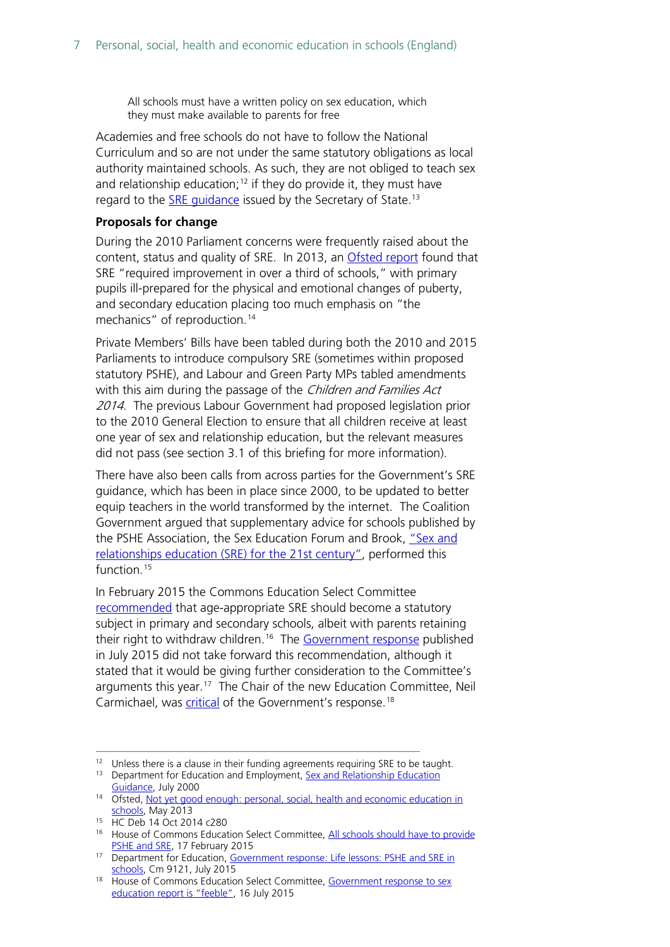All schools must have a written policy on sex education, which they must make available to parents for free

Academies and free schools do not have to follow the National Curriculum and so are not under the same statutory obligations as local authority maintained schools. As such, they are not obliged to teach sex and relationship education;<sup>[12](#page-6-0)</sup> if they do provide it, they must have regard to the **SRE** quidance issued by the Secretary of State.<sup>[13](#page-6-1)</sup>

#### **Proposals for change**

During the 2010 Parliament concerns were frequently raised about the content, status and quality of SRE. In 2013, an [Ofsted report](https://www.gov.uk/government/publications/not-yet-good-enough-personal-social-health-and-economic-education) found that SRE "required improvement in over a third of schools," with primary pupils ill-prepared for the physical and emotional changes of puberty, and secondary education placing too much emphasis on "the mechanics" of reproduction.<sup>[14](#page-6-2)</sup>

Private Members' Bills have been tabled during both the 2010 and 2015 Parliaments to introduce compulsory SRE (sometimes within proposed statutory PSHE), and Labour and Green Party MPs tabled amendments with this aim during the passage of the Children and Families Act 2014. The previous Labour Government had proposed legislation prior to the 2010 General Election to ensure that all children receive at least one year of sex and relationship education, but the relevant measures did not pass (see section 3.1 of this briefing for more information).

There have also been calls from across parties for the Government's SRE guidance, which has been in place since 2000, to be updated to better equip teachers in the world transformed by the internet. The Coalition Government argued that supplementary advice for schools published by the PSHE Association, the Sex Education Forum and Brook, "Sex and [relationships education \(SRE\) for the 21st century",](https://www.pshe-association.org.uk/resources_search_details.aspx?ResourceId=526) performed this function.<sup>[15](#page-6-3)</sup>

In February 2015 the Commons Education Select Committee [recommended](http://www.publications.parliament.uk/pa/cm201415/cmselect/cmeduc/145/145.pdf) that age-appropriate SRE should become a statutory subject in primary and secondary schools, albeit with parents retaining their right to withdraw children.<sup>[16](#page-6-4)</sup> The [Government response](https://www.gov.uk/government/uploads/system/uploads/attachment_data/file/446038/50742_Cm_9121_Web.pdf) published in July 2015 did not take forward this recommendation, although it stated that it would be giving further consideration to the Committee's arguments this year.<sup>[17](#page-6-5)</sup> The Chair of the new Education Committee, Neil Carmichael, was [critical](http://www.parliament.uk/business/committees/committees-a-z/commons-select/education-committee/news-parliament-2015/comment-sex-education-15-16/) of the Government's response.<sup>18</sup>

<span id="page-6-4"></span><span id="page-6-3"></span><sup>15</sup> HC Deb 14 Oct 2014 c280

<span id="page-6-1"></span><span id="page-6-0"></span><sup>&</sup>lt;sup>12</sup> Unless there is a clause in their funding agreements requiring SRE to be taught.

<sup>&</sup>lt;sup>13</sup> Department for Education and Employment, Sex and Relationship Education [Guidance,](https://www.gov.uk/government/uploads/system/uploads/attachment_data/file/283599/sex_and_relationship_education_guidance.pdf) July 2000

<span id="page-6-2"></span><sup>&</sup>lt;sup>14</sup> Ofsted, Not yet good enough: personal, social, health and economic education in [schools,](https://www.gov.uk/government/publications/not-yet-good-enough-personal-social-health-and-economic-education) May 2013

<sup>&</sup>lt;sup>16</sup> House of Commons Education Select Committee, All schools should have to provide [PSHE and SRE,](http://www.parliament.uk/business/committees/committees-a-z/commons-select/education-committee/news/pshe-sre-report/) 17 February 2015

<span id="page-6-5"></span><sup>17</sup> Department for Education, Government response: Life lessons: PSHE and SRE in [schools,](https://www.gov.uk/government/uploads/system/uploads/attachment_data/file/446038/50742_Cm_9121_Web.pdf) Cm 9121, July 2015

<span id="page-6-6"></span><sup>&</sup>lt;sup>18</sup> House of Commons Education Select Committee, Government response to sex [education report is "feeble",](http://www.parliament.uk/business/committees/committees-a-z/commons-select/education-committee/news-parliament-2015/comment-sex-education-15-16/) 16 July 2015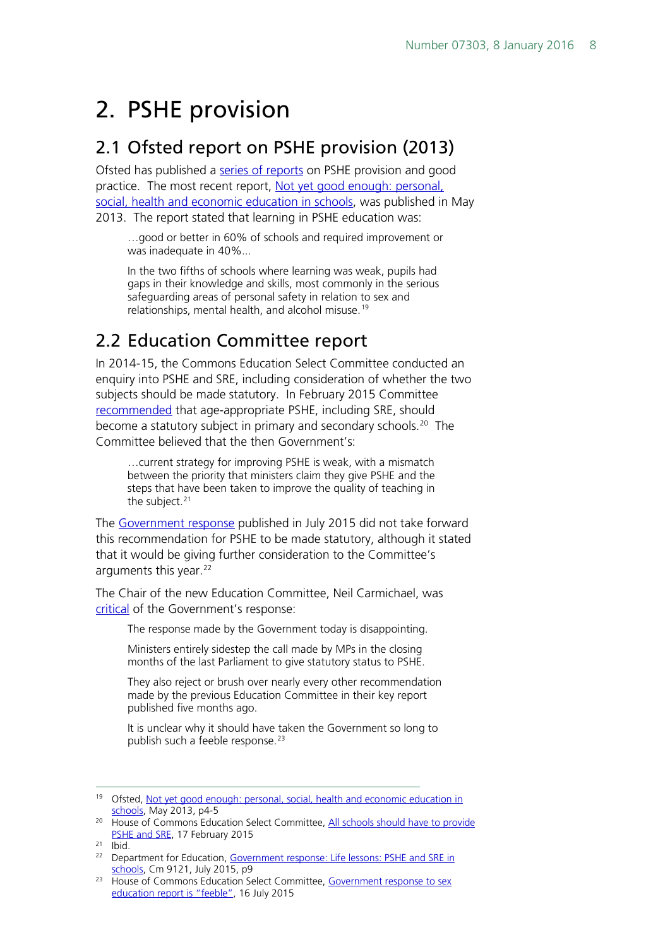## <span id="page-7-0"></span>2. PSHE provision

### <span id="page-7-1"></span>2.1 Ofsted report on PSHE provision (2013)

Ofsted has published a [series of reports](http://webarchive.nationalarchives.gov.uk/20141124154759/http:/www.ofsted.gov.uk/inspection-reports/our-expert-knowledge/personal-social-and-health-education-pshe) on PSHE provision and good practice. The most recent report, Not yet good enough: personal, [social, health and economic education in schools,](https://www.gov.uk/government/publications/not-yet-good-enough-personal-social-health-and-economic-education) was published in May 2013. The report stated that learning in PSHE education was:

…good or better in 60% of schools and required improvement or was inadequate in 40%...

In the two fifths of schools where learning was weak, pupils had gaps in their knowledge and skills, most commonly in the serious safeguarding areas of personal safety in relation to sex and relationships, mental health, and alcohol misuse.<sup>[19](#page-7-3)</sup>

## <span id="page-7-2"></span>2.2 Education Committee report

In 2014-15, the Commons Education Select Committee conducted an enquiry into PSHE and SRE, including consideration of whether the two subjects should be made statutory. In February 2015 Committee [recommended](http://www.publications.parliament.uk/pa/cm201415/cmselect/cmeduc/145/145.pdf) that age-appropriate PSHE, including SRE, should become a statutory subject in primary and secondary schools.<sup>[20](#page-7-4)</sup> The Committee believed that the then Government's:

…current strategy for improving PSHE is weak, with a mismatch between the priority that ministers claim they give PSHE and the steps that have been taken to improve the quality of teaching in the subject. $21$ 

The [Government response](https://www.gov.uk/government/uploads/system/uploads/attachment_data/file/446038/50742_Cm_9121_Web.pdf) published in July 2015 did not take forward this recommendation for PSHE to be made statutory, although it stated that it would be giving further consideration to the Committee's arguments this year.<sup>[22](#page-7-6)</sup>

The Chair of the new Education Committee, Neil Carmichael, was [critical](http://www.parliament.uk/business/committees/committees-a-z/commons-select/education-committee/news-parliament-2015/comment-sex-education-15-16/) of the Government's response:

The response made by the Government today is disappointing.

Ministers entirely sidestep the call made by MPs in the closing months of the last Parliament to give statutory status to PSHE.

They also reject or brush over nearly every other recommendation made by the previous Education Committee in their key report published five months ago.

It is unclear why it should have taken the Government so long to publish such a feeble response.<sup>[23](#page-7-7)</sup>

<span id="page-7-3"></span> <sup>19</sup> Ofsted, [Not yet good enough: personal, social, health and economic education in](https://www.gov.uk/government/uploads/system/uploads/attachment_data/file/413178/Not_yet_good_enough_personal__social__health_and_economic_education_in_schools.pdf)  [schools,](https://www.gov.uk/government/uploads/system/uploads/attachment_data/file/413178/Not_yet_good_enough_personal__social__health_and_economic_education_in_schools.pdf) May 2013, p4-5

<span id="page-7-4"></span><sup>&</sup>lt;sup>20</sup> House of Commons Education Select Committee, All schools should have to provide [PSHE and SRE,](http://www.parliament.uk/business/committees/committees-a-z/commons-select/education-committee/news/pshe-sre-report/) 17 February 2015

<span id="page-7-5"></span> $21$  Ibid.

<span id="page-7-6"></span><sup>&</sup>lt;sup>22</sup> Department for Education, Government response: Life lessons: PSHE and SRE in [schools,](https://www.gov.uk/government/uploads/system/uploads/attachment_data/file/446038/50742_Cm_9121_Web.pdf) Cm 9121, July 2015, p9

<span id="page-7-7"></span><sup>&</sup>lt;sup>23</sup> House of Commons Education Select Committee, Government response to sex [education report is "feeble",](http://www.parliament.uk/business/committees/committees-a-z/commons-select/education-committee/news-parliament-2015/comment-sex-education-15-16/) 16 July 2015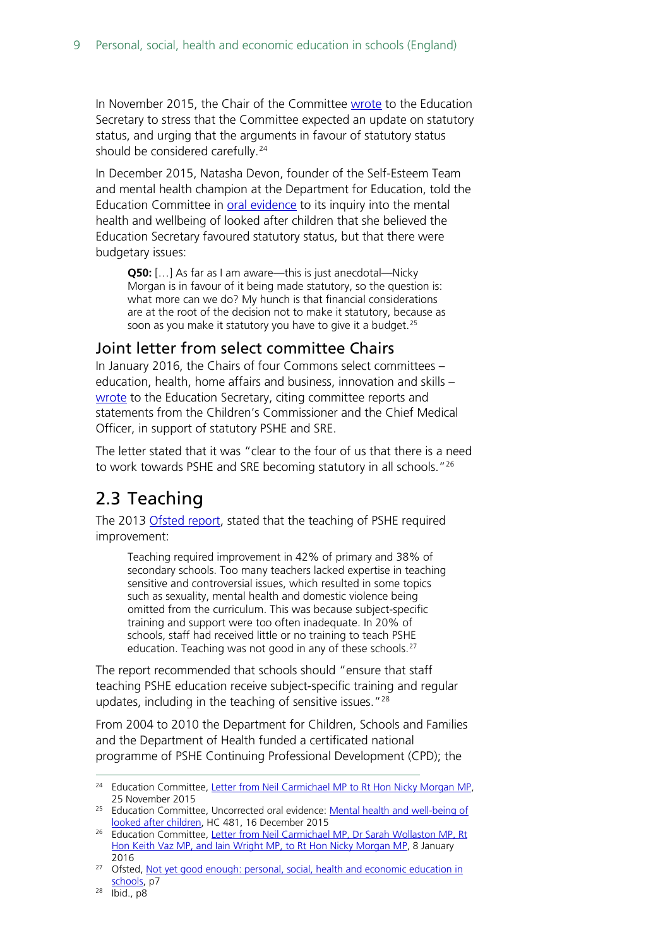In November 2015, the Chair of the Committee [wrote](http://www.parliament.uk/documents/commons-committees/Education/Letter-from-the-Committee-to-the-Secretary-of-State-regarding-statutory-status-for-PSHE.pdf) to the Education Secretary to stress that the Committee expected an update on statutory status, and urging that the arguments in favour of statutory status should be considered carefully.<sup>[24](#page-8-2)</sup>

In December 2015, Natasha Devon, founder of the Self-Esteem Team and mental health champion at the Department for Education, told the Education Committee in [oral evidence](http://data.parliament.uk/writtenevidence/committeeevidence.svc/evidencedocument/education-committee/mental-health-and-wellbeing-of-looked-after-children/oral/26126.html) to its inquiry into the mental health and wellbeing of looked after children that she believed the Education Secretary favoured statutory status, but that there were budgetary issues:

**Q50:** […] As far as I am aware—this is just anecdotal—Nicky Morgan is in favour of it being made statutory, so the question is: what more can we do? My hunch is that financial considerations are at the root of the decision not to make it statutory, because as soon as you make it statutory you have to give it a budget.<sup>[25](#page-8-3)</sup>

#### <span id="page-8-0"></span>Joint letter from select committee Chairs

In January 2016, the Chairs of four Commons select committees – education, health, home affairs and business, innovation and skills – [wrote](http://www.parliament.uk/documents/commons-committees/Education/Chairs) to the Education Secretary, citing committee reports and statements from the Children's Commissioner and the Chief Medical Officer, in support of statutory PSHE and SRE.

The letter stated that it was "clear to the four of us that there is a need to work towards PSHE and SRE becoming statutory in all schools.<sup>"[26](#page-8-4)</sup>

## <span id="page-8-1"></span>2.3 Teaching

The 2013 [Ofsted report,](https://www.gov.uk/government/publications/not-yet-good-enough-personal-social-health-and-economic-education) stated that the teaching of PSHE required improvement:

Teaching required improvement in 42% of primary and 38% of secondary schools. Too many teachers lacked expertise in teaching sensitive and controversial issues, which resulted in some topics such as sexuality, mental health and domestic violence being omitted from the curriculum. This was because subject-specific training and support were too often inadequate. In 20% of schools, staff had received little or no training to teach PSHE education. Teaching was not good in any of these schools.<sup>[27](#page-8-5)</sup>

The report recommended that schools should "ensure that staff teaching PSHE education receive subject-specific training and regular updates, including in the teaching of sensitive issues."<sup>[28](#page-8-6)</sup>

From 2004 to 2010 the Department for Children, Schools and Families and the Department of Health funded a certificated national programme of PSHE Continuing Professional Development (CPD); the

<span id="page-8-2"></span><sup>&</sup>lt;sup>24</sup> Education Committee, [Letter from Neil Carmichael MP to Rt Hon](http://www.parliament.uk/documents/commons-committees/Education/Letter-from-the-Committee-to-the-Secretary-of-State-regarding-statutory-status-for-PSHE.pdf) Nicky Morgan MP, 25 November 2015

<span id="page-8-3"></span><sup>&</sup>lt;sup>25</sup> Education Committee, Uncorrected oral evidence: Mental health and well-being of [looked after children,](http://www.parliament.uk/business/committees/committees-a-z/commons-select/education-committee/inquiries/parliament-2015/mental-health-children-15-16/) HC 481, 16 December 2015

<span id="page-8-4"></span><sup>&</sup>lt;sup>26</sup> Education Committee, Letter from Neil Carmichael MP, Dr Sarah Wollaston MP, Rt [Hon Keith Vaz MP, and Iain Wright MP, to Rt Hon Nicky Morgan MP,](http://www.parliament.uk/documents/commons-committees/Education/Chairs) 8 January 2016

<span id="page-8-5"></span><sup>&</sup>lt;sup>27</sup> Ofsted, Not yet good enough: personal, social, health and economic education in [schools,](https://www.gov.uk/government/uploads/system/uploads/attachment_data/file/413178/Not_yet_good_enough_personal__social__health_and_economic_education_in_schools.pdf) p7

<span id="page-8-6"></span><sup>28</sup> Ibid., p8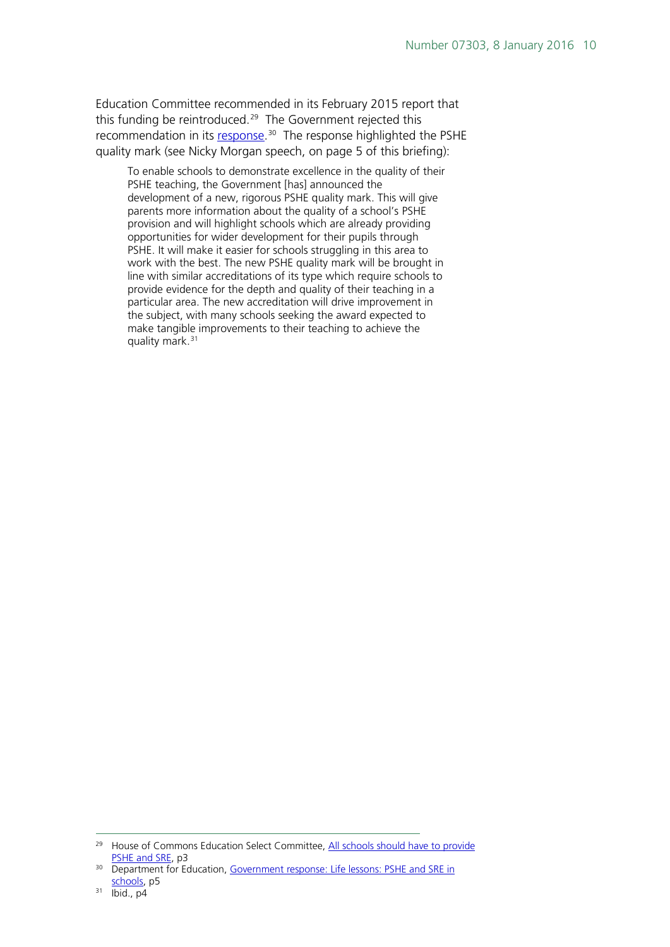Education Committee recommended in its February 2015 report that this funding be reintroduced.<sup>29</sup> The Government rejected this recommendation in its [response.](https://www.gov.uk/government/publications/pshe-and-sre-in-schools-government-response)<sup>30</sup> The response highlighted the PSHE quality mark (see Nicky Morgan speech, on page 5 of this briefing):

To enable schools to demonstrate excellence in the quality of their PSHE teaching, the Government [has] announced the development of a new, rigorous PSHE quality mark. This will give parents more information about the quality of a school's PSHE provision and will highlight schools which are already providing opportunities for wider development for their pupils through PSHE. It will make it easier for schools struggling in this area to work with the best. The new PSHE quality mark will be brought in line with similar accreditations of its type which require schools to provide evidence for the depth and quality of their teaching in a particular area. The new accreditation will drive improvement in the subject, with many schools seeking the award expected to make tangible improvements to their teaching to achieve the quality mark.<sup>[31](#page-9-2)</sup>

<span id="page-9-0"></span><sup>&</sup>lt;sup>29</sup> House of Commons Education Select Committee, All schools should have to provide [PSHE and SRE,](http://www.parliament.uk/business/committees/committees-a-z/commons-select/education-committee/news/pshe-sre-report/) p3

<span id="page-9-1"></span><sup>&</sup>lt;sup>30</sup> Department for Education, Government response: Life lessons: PSHE and SRE in schools</u>, p5

<span id="page-9-2"></span> $31$   $\bar{1}$ bid., p4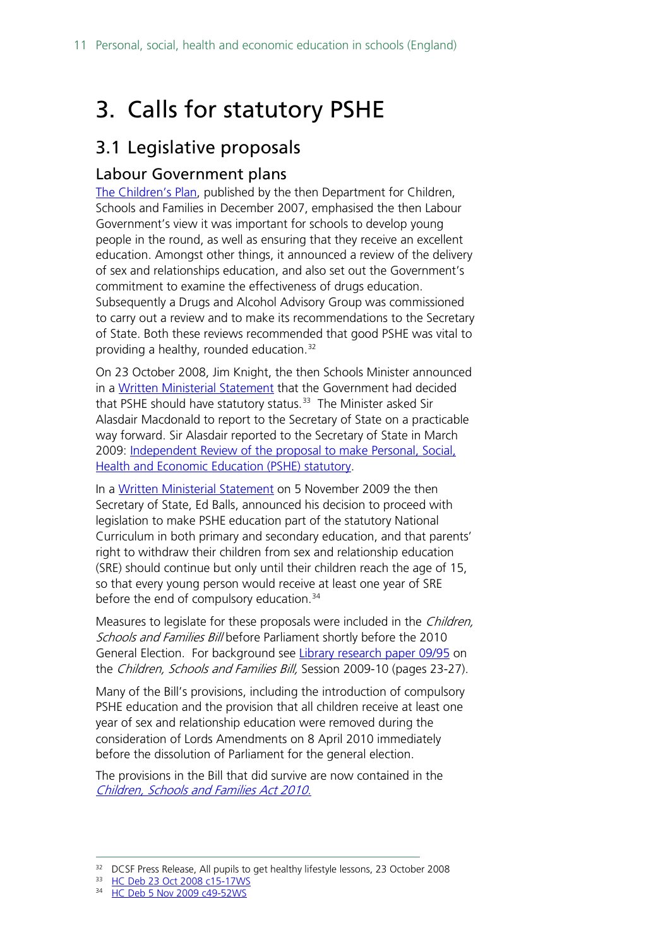## <span id="page-10-0"></span>3. Calls for statutory PSHE

### <span id="page-10-1"></span>3.1 Legislative proposals

#### <span id="page-10-2"></span>Labour Government plans

[The Children's Plan,](https://www.gov.uk/government/publications/the-childrens-plan) published by the then Department for Children, Schools and Families in December 2007, emphasised the then Labour Government's view it was important for schools to develop young people in the round, as well as ensuring that they receive an excellent education. Amongst other things, it announced a review of the delivery of sex and relationships education, and also set out the Government's commitment to examine the effectiveness of drugs education. Subsequently a Drugs and Alcohol Advisory Group was commissioned to carry out a review and to make its recommendations to the Secretary of State. Both these reviews recommended that good PSHE was vital to providing a healthy, rounded education.<sup>[32](#page-10-3)</sup>

On 23 October 2008, Jim Knight, the then Schools Minister announced in a [Written Ministerial Statement](http://www.publications.parliament.uk/pa/cm200708/cmhansrd/cm081023/wmstext/81023m0001.htm#08102337000011) that the Government had decided that PSHE should have statutory status. [33](#page-10-4) The Minister asked Sir Alasdair Macdonald to report to the Secretary of State on a practicable way forward. Sir Alasdair reported to the Secretary of State in March 2009: [Independent Review of the proposal to make Personal, Social,](http://www.educationengland.org.uk/documents/pdfs/2009-macdonald-pshe.pdf)  [Health and Economic Education \(PSHE\) statutory.](http://www.educationengland.org.uk/documents/pdfs/2009-macdonald-pshe.pdf)

In a [Written Ministerial Statement](http://www.publications.parliament.uk/pa/cm200809/cmhansrd/cm091105/wmstext/91105m0001.htm#09110553000010) on 5 November 2009 the then Secretary of State, Ed Balls, announced his decision to proceed with legislation to make PSHE education part of the statutory National Curriculum in both primary and secondary education, and that parents' right to withdraw their children from sex and relationship education (SRE) should continue but only until their children reach the age of 15, so that every young person would receive at least one year of SRE before the end of compulsory education.<sup>[34](#page-10-5)</sup>

Measures to legislate for these proposals were included in the *Children*, Schools and Families Bill before Parliament shortly before the 2010 General Election. For background see [Library research paper 09/95](http://researchbriefings.parliament.uk/ResearchBriefing/Summary/RP09-95) on the Children, Schools and Families Bill, Session 2009-10 (pages 23-27).

Many of the Bill's provisions, including the introduction of compulsory PSHE education and the provision that all children receive at least one year of sex and relationship education were removed during the consideration of Lords Amendments on 8 April 2010 immediately before the dissolution of Parliament for the general election.

The provisions in the Bill that did survive are now contained in the [Children, Schools and Families Act 2010.](http://www.legislation.gov.uk/ukpga/2010/26/contents)

<span id="page-10-3"></span><sup>&</sup>lt;sup>32</sup> DCSF Press Release, All pupils to get healthy lifestyle lessons, 23 October 2008

<span id="page-10-4"></span><sup>33</sup> [HC Deb 23 Oct 2008 c15-17WS](http://www.publications.parliament.uk/pa/cm200708/cmhansrd/cm081023/wmstext/81023m0001.htm#08102337000011)

<span id="page-10-5"></span><sup>34</sup> [HC Deb 5 Nov 2009 c49-52WS](http://www.publications.parliament.uk/pa/cm200809/cmhansrd/cm091105/wmstext/91105m0001.htm#09110553000010)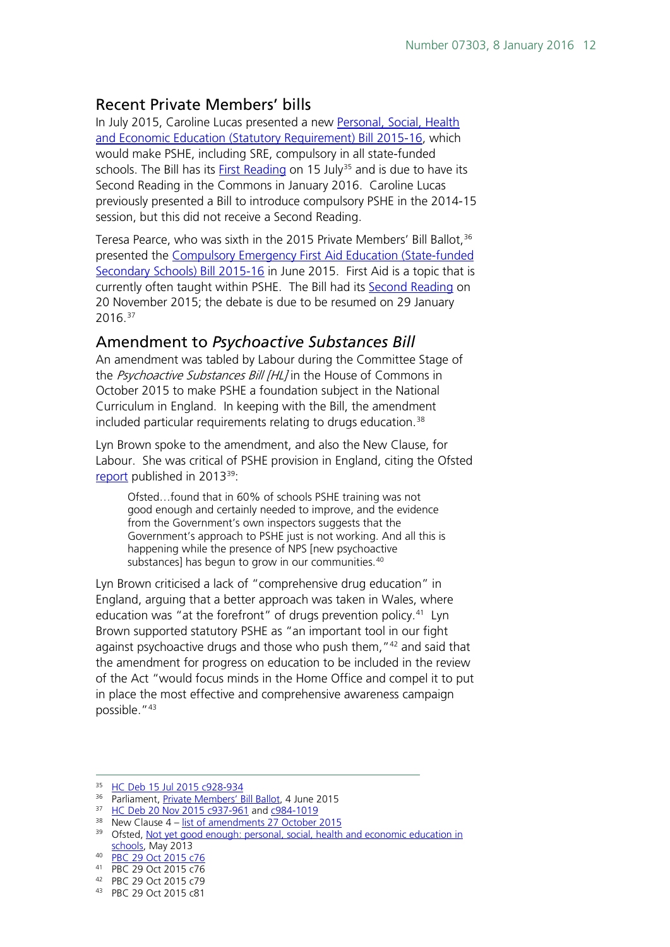#### <span id="page-11-0"></span>Recent Private Members' bills

In July 2015, Caroline Lucas presented a new [Personal, Social, Health](http://services.parliament.uk/bills/2015-16/personalsocialhealthandeconomiceducationstatutoryrequirement.html)  [and Economic Education \(Statutory Requirement\) Bill 2015-16,](http://services.parliament.uk/bills/2015-16/personalsocialhealthandeconomiceducationstatutoryrequirement.html) which would make PSHE, including SRE, compulsory in all state-funded schools. The Bill has its [First Reading](http://www.publications.parliament.uk/pa/cm201516/cmhansrd/cm150715/debtext/150715-0002.htm#15071540000398) on 15 July<sup>[35](#page-11-2)</sup> and is due to have its Second Reading in the Commons in January 2016. Caroline Lucas previously presented a Bill to introduce compulsory PSHE in the 2014-15 session, but this did not receive a Second Reading.

Teresa Pearce, who was sixth in the 2015 Private Members' Bill Ballot, <sup>[36](#page-11-3)</sup> presented the [Compulsory Emergency First Aid Education \(State-funded](http://services.parliament.uk/bills/2015-16/compulsoryemergencyfirstaideducationstatefundedsecondaryschools.html)  [Secondary Schools\) Bill 2015-16](http://services.parliament.uk/bills/2015-16/compulsoryemergencyfirstaideducationstatefundedsecondaryschools.html) in June 2015. First Aid is a topic that is currently often taught within PSHE. The Bill had its [Second Reading](http://www.publications.parliament.uk/pa/cm201516/cmhansrd/cm151120/debtext/151120-0001.htm#15112060000001) on 20 November 2015; the debate is due to be resumed on 29 January  $2016.<sup>37</sup>$  $2016.<sup>37</sup>$  $2016.<sup>37</sup>$ 

#### <span id="page-11-1"></span>Amendment to *Psychoactive Substances Bill*

An amendment was tabled by Labour during the Committee Stage of the Psychoactive Substances Bill [HL] in the House of Commons in October 2015 to make PSHE a foundation subject in the National Curriculum in England. In keeping with the Bill, the amendment included particular requirements relating to drugs education.<sup>[38](#page-11-5)</sup>

Lyn Brown spoke to the amendment, and also the New Clause, for Labour. She was critical of PSHE provision in England, citing the Ofsted [report](https://www.gov.uk/government/uploads/system/uploads/attachment_data/file/413178/Not_yet_good_enough_personal__social__health_and_economic_education_in_schools.pdf) published in 2013[39:](#page-11-6)

Ofsted…found that in 60% of schools PSHE training was not good enough and certainly needed to improve, and the evidence from the Government's own inspectors suggests that the Government's approach to PSHE just is not working. And all this is happening while the presence of NPS [new psychoactive substances] has begun to grow in our communities.<sup>[40](#page-11-7)</sup>

Lyn Brown criticised a lack of "comprehensive drug education" in England, arguing that a better approach was taken in Wales, where education was "at the forefront" of drugs prevention policy.<sup>[41](#page-11-8)</sup> Lyn Brown supported statutory PSHE as "an important tool in our fight against psychoactive drugs and those who push them, "<sup>[42](#page-11-9)</sup> and said that the amendment for progress on education to be included in the review of the Act "would focus minds in the Home Office and compel it to put in place the most effective and comprehensive awareness campaign possible."[43](#page-11-10)

<span id="page-11-2"></span> <sup>35</sup> [HC Deb 15 Jul 2015 c928-934](http://www.publications.parliament.uk/pa/cm201516/cmhansrd/cm150715/debtext/150715-0002.htm#15071540000398)

<span id="page-11-3"></span><sup>36</sup> Parliament[, Private Members' Bill Ballot,](http://www.parliament.uk/business/news/2015/june/private-members-bill-ballot-4-june-2015/) 4 June 2015

<span id="page-11-5"></span><span id="page-11-4"></span><sup>&</sup>lt;sup>37</sup> [HC Deb 20 Nov 2015 c937-961](http://www.publications.parliament.uk/pa/cm201516/cmhansrd/cm151120/debtext/151120-0001.htm#15112060000001) and [c984-1019](http://www.publications.parliament.uk/pa/cm201516/cmhansrd/cm151120/debtext/151120-0002.htm#15112060000003)

 $38$  New Clause 4 – [list of amendments 27 October 2015](http://www.publications.parliament.uk/pa/bills/cbill/2015-2016/0063/amend/pbc0632710m.1-7.pdf)

<span id="page-11-6"></span><sup>&</sup>lt;sup>39</sup> Ofsted, [Not yet good enough: personal, social,](https://www.gov.uk/government/uploads/system/uploads/attachment_data/file/413178/Not_yet_good_enough_personal__social__health_and_economic_education_in_schools.pdf) health and economic education in [schools,](https://www.gov.uk/government/uploads/system/uploads/attachment_data/file/413178/Not_yet_good_enough_personal__social__health_and_economic_education_in_schools.pdf) May 2013

<span id="page-11-7"></span><sup>40</sup> [PBC 29 Oct 2015 c76](http://www.publications.parliament.uk/pa/cm201516/cmpublic/psychoactive/151029/am/151029s01.htm)

<span id="page-11-8"></span><sup>41</sup> PBC 29 Oct 2015 c76

<span id="page-11-9"></span><sup>42</sup> PBC 29 Oct 2015 c79

<span id="page-11-10"></span><sup>43</sup> PBC 29 Oct 2015 c81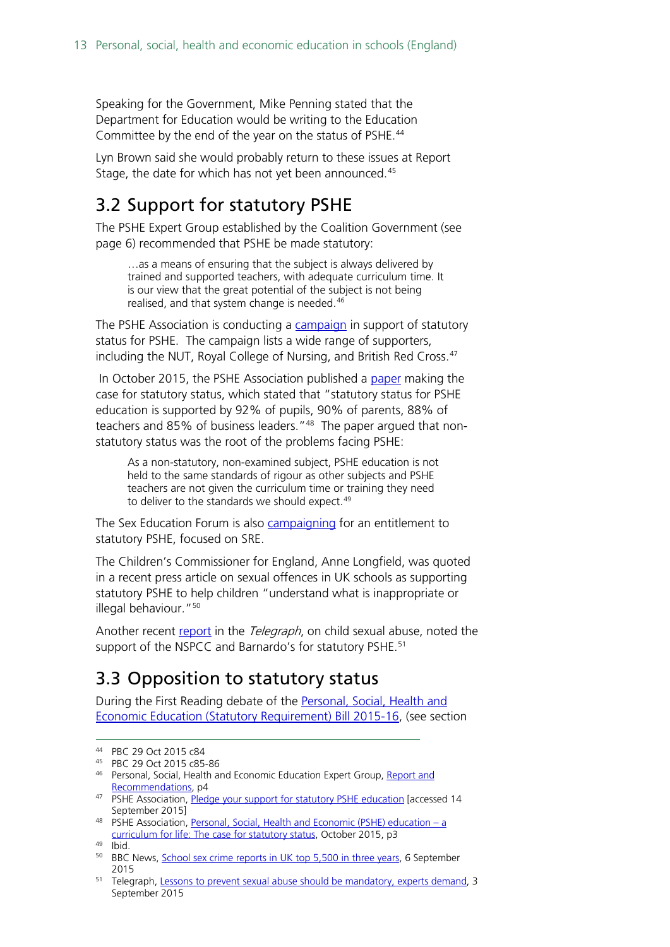Speaking for the Government, Mike Penning stated that the Department for Education would be writing to the Education Committee by the end of the year on the status of PSHE.[44](#page-12-2)

Lyn Brown said she would probably return to these issues at Report Stage, the date for which has not yet been announced.<sup>[45](#page-12-3)</sup>

### <span id="page-12-0"></span>3.2 Support for statutory PSHE

The PSHE Expert Group established by the Coalition Government (see page 6) recommended that PSHE be made statutory:

…as a means of ensuring that the subject is always delivered by trained and supported teachers, with adequate curriculum time. It is our view that the great potential of the subject is not being realised, and that system change is needed.<sup>[46](#page-12-4)</sup>

The PSHE Association is conducting a [campaign](https://pshe-association.org.uk/content.aspx?CategoryID=1183&ArticleID=1144) in support of statutory status for PSHE. The campaign lists a wide range of supporters, including the NUT, Royal College of Nursing, and British Red Cross.<sup>[47](#page-12-5)</sup>

In October 2015, the PSHE Association published a [paper](https://pshe-association.org.uk/uploads/media/17/8230.pdf) making the case for statutory status, which stated that "statutory status for PSHE education is supported by 92% of pupils, 90% of parents, 88% of teachers and 85% of business leaders."<sup>[48](#page-12-6)</sup> The paper argued that nonstatutory status was the root of the problems facing PSHE:

As a non-statutory, non-examined subject, PSHE education is not held to the same standards of rigour as other subjects and PSHE teachers are not given the curriculum time or training they need to deliver to the standards we should expect.<sup>[49](#page-12-7)</sup>

The Sex Education Forum is also [campaigning](http://www.sexeducationforum.org.uk/its-my-right) for an entitlement to statutory PSHE, focused on SRE.

The Children's Commissioner for England, Anne Longfield, was quoted in a recent press article on sexual offences in UK schools as supporting statutory PSHE to help children "understand what is inappropriate or illegal behaviour."[50](#page-12-8)

Another recent [report](http://www.telegraph.co.uk/education/educationnews/11841330/Lessons-to-prevent-sexual-abuse-should-be-mandatory-experts-demand.html) in the Telegraph, on child sexual abuse, noted the support of the NSPCC and Barnardo's for statutory PSHE.<sup>[51](#page-12-9)</sup>

## <span id="page-12-1"></span>3.3 Opposition to statutory status

During the First Reading debate of the [Personal, Social, Health and](http://services.parliament.uk/bills/2015-16/personalsocialhealthandeconomiceducationstatutoryrequirement.html)  [Economic Education \(Statutory Requirement\) Bill 2015-16,](http://services.parliament.uk/bills/2015-16/personalsocialhealthandeconomiceducationstatutoryrequirement.html) (see section

<span id="page-12-2"></span> <sup>44</sup> PBC 29 Oct 2015 c84

<span id="page-12-3"></span><sup>45</sup> PBC 29 Oct 2015 c85-86

<span id="page-12-4"></span><sup>46</sup> Personal, Social, Health and Economic Education Expert Group, Report and [Recommendations,](https://pshe-association.org.uk/uploads/media/17/8025.pdf) p4

<span id="page-12-5"></span><sup>47</sup> PSHE Association, [Pledge your support for statutory PSHE education](https://pshe-association.org.uk/content.aspx?CategoryID=1183&ArticleID=1144) [accessed 14 September 2015]

<span id="page-12-6"></span><sup>48</sup> PSHE Association, [Personal, Social, Health and Economic \(PSHE\) education –](https://pshe-association.org.uk/uploads/media/17/8230.pdf) a [curriculum for life: The case for statutory status,](https://pshe-association.org.uk/uploads/media/17/8230.pdf) October 2015, p3

<span id="page-12-7"></span> $49$   $\overline{I}$ bid.

<span id="page-12-8"></span><sup>&</sup>lt;sup>50</sup> BBC News, **School sex crime reports in UK top 5,500 in three years**, 6 September 2015

<span id="page-12-9"></span><sup>&</sup>lt;sup>51</sup> Telegraph, [Lessons to prevent sexual abuse should be mandatory, experts demand,](http://www.telegraph.co.uk/education/educationnews/11841330/Lessons-to-prevent-sexual-abuse-should-be-mandatory-experts-demand.html) 3 September 2015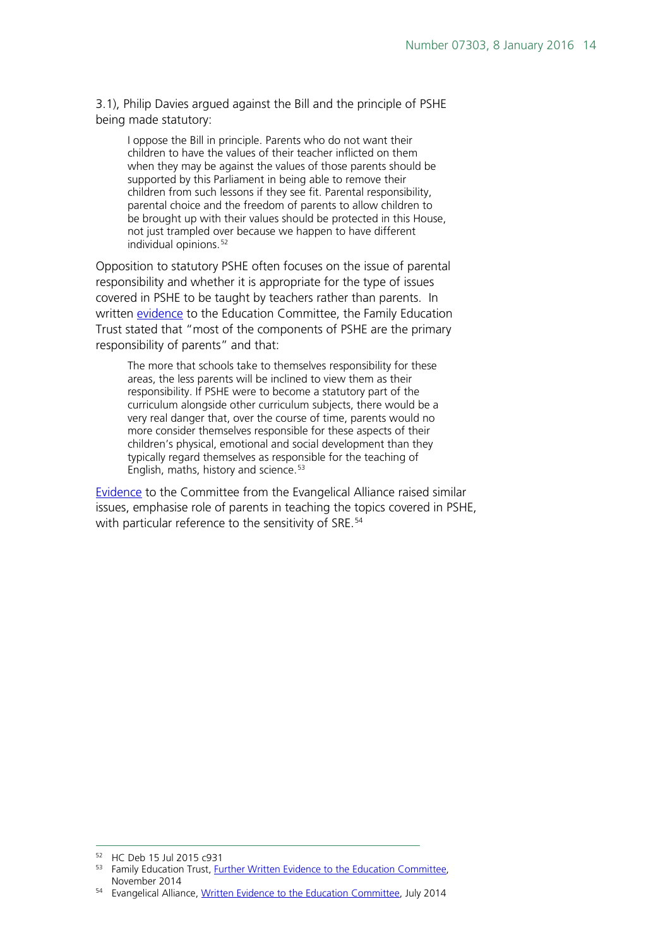3.1), Philip Davies argued against the Bill and the principle of PSHE being made statutory:

I oppose the Bill in principle. Parents who do not want their children to have the values of their teacher inflicted on them when they may be against the values of those parents should be supported by this Parliament in being able to remove their children from such lessons if they see fit. Parental responsibility, parental choice and the freedom of parents to allow children to be brought up with their values should be protected in this House, not just trampled over because we happen to have different individual opinions.<sup>[52](#page-13-0)</sup>

Opposition to statutory PSHE often focuses on the issue of parental responsibility and whether it is appropriate for the type of issues covered in PSHE to be taught by teachers rather than parents. In written [evidence](http://data.parliament.uk/writtenevidence/committeeevidence.svc/evidencedocument/education-committee/personal-social-health-and-economic-education-and-sex-and-relationships-education-in-schools/written/15451.pdf) to the Education Committee, the Family Education Trust stated that "most of the components of PSHE are the primary responsibility of parents" and that:

The more that schools take to themselves responsibility for these areas, the less parents will be inclined to view them as their responsibility. If PSHE were to become a statutory part of the curriculum alongside other curriculum subjects, there would be a very real danger that, over the course of time, parents would no more consider themselves responsible for these aspects of their children's physical, emotional and social development than they typically regard themselves as responsible for the teaching of English, maths, history and science.<sup>[53](#page-13-1)</sup>

[Evidence](http://data.parliament.uk/writtenevidence/committeeevidence.svc/evidencedocument/education-committee/personal-social-health-and-economic-education-and-sex-and-relationships-education-in-schools/written/10091.pdf) to the Committee from the Evangelical Alliance raised similar issues, emphasise role of parents in teaching the topics covered in PSHE, with particular reference to the sensitivity of SRE.<sup>[54](#page-13-2)</sup>

<span id="page-13-0"></span> <sup>52</sup> HC Deb 15 Jul 2015 c931

<span id="page-13-1"></span><sup>&</sup>lt;sup>53</sup> Family Education Trust, [Further Written Evidence to the Education Committee,](http://data.parliament.uk/writtenevidence/committeeevidence.svc/evidencedocument/education-committee/personal-social-health-and-economic-education-and-sex-and-relationships-education-in-schools/written/15451.pdf) November 2014

<span id="page-13-2"></span><sup>54</sup> Evangelical Alliance[, Written Evidence to the Education Committee,](http://data.parliament.uk/writtenevidence/committeeevidence.svc/evidencedocument/education-committee/personal-social-health-and-economic-education-and-sex-and-relationships-education-in-schools/written/10091.pdf) July 2014